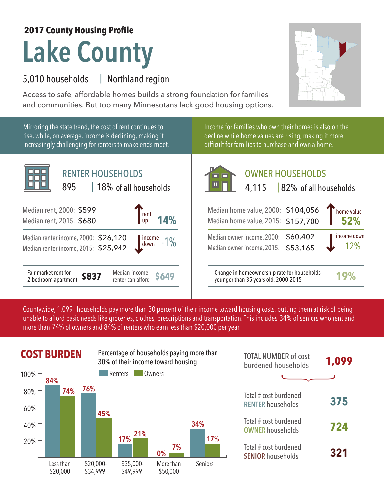## **Lake County 2017 County Housing Profile**

## 5,010 households Northland region |

Access to safe, affordable homes builds a strong foundation for families and communities. But too many Minnesotans lack good housing options.



Mirroring the state trend, the cost of rent continues to rise, while, on average, income is declining, making it increasingly challenging for renters to make ends meet.



Income for families who own their homes is also on the decline while home values are rising, making it more difficult for families to purchase and own a home.



Median owner income, 2015: \$53,165

**\$649** Change in homeownership rate for households younger than 35 years old, 2000-2015 **19%**

Countywide, 1,099  $\,$  households pay more than 30 percent of their income toward housing costs, putting them at risk of being  $\,$ unable to afford basic needs like groceries, clothes, prescriptions and transportation. This includes 34% of seniors who rent and more than 74% of owners and 84% of renters who earn less than \$20,000 per year.



| <b>TOTAL NUMBER of cost</b><br>burdened households | 1,099 |
|----------------------------------------------------|-------|
|                                                    |       |
| Total # cost burdened<br><b>RENTER households</b>  | 375   |
| Total # cost burdened<br><b>OWNER households</b>   | 724   |
| Total # cost burdened<br><b>SENIOR</b> households  | 321   |